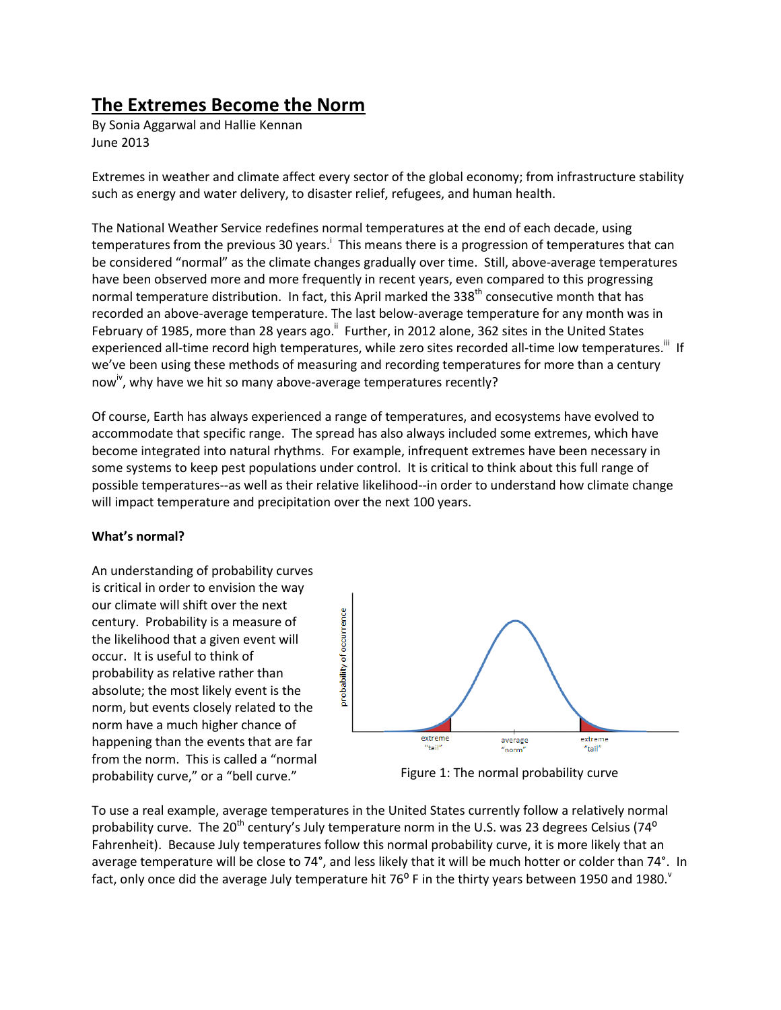# **The Extremes Become the Norm**

By Sonia Aggarwal and Hallie Kennan June 2013

Extremes in weather and climate affect every sector of the global economy; from infrastructure stability such as energy and water delivery, to disaster relief, refugees, and human health.

The National Weather Service redefines normal temperatures at the end of each decade, using temperatures from the previous 30 years.<sup>i</sup> This means there is a progression of temperatures that can be considered "normal" as the climate changes gradually over time. Still, above-average temperatures have been observed more and more frequently in recent years, even compared to this progressing normal temperature distribution. In fact, this April marked the 338<sup>th</sup> consecutive month that has recorded an above-average temperature. The last below-average temperature for any month was in February of 1985, more than 28 years ago.<sup>"</sup> Further, in 2012 alone, 362 sites in the United States experienced all-time record high temperatures, while zero sites recorded all-time low temperatures.<sup>iii</sup> If we've been using these methods of measuring and recording temperatures for more than a century now<sup>iv</sup>, why have we hit so many above-average temperatures recently?

Of course, Earth has always experienced a range of temperatures, and ecosystems have evolved to accommodate that specific range. The spread has also always included some extremes, which have become integrated into natural rhythms. For example, infrequent extremes have been necessary in some systems to keep pest populations under control. It is critical to think about this full range of possible temperatures--as well as their relative likelihood--in order to understand how climate change will impact temperature and precipitation over the next 100 years.

#### **What's normal?**

An understanding of probability curves is critical in order to envision the way our climate will shift over the next century. Probability is a measure of the likelihood that a given event will occur. It is useful to think of probability as relative rather than absolute; the most likely event is the norm, but events closely related to the norm have a much higher chance of happening than the events that are far from the norm. This is called a "normal probability curve," or a "bell curve."



Figure 1: The normal probability curve

To use a real example, average temperatures in the United States currently follow a relatively normal probability curve. The 20<sup>th</sup> century's July temperature norm in the U.S. was 23 degrees Celsius (74<sup>o</sup> Fahrenheit). Because July temperatures follow this normal probability curve, it is more likely that an average temperature will be close to 74°, and less likely that it will be much hotter or colder than 74°. In fact, only once did the average July temperature hit 76<sup>o</sup> F in the thirty years between 1950 and 1980.<sup>v</sup>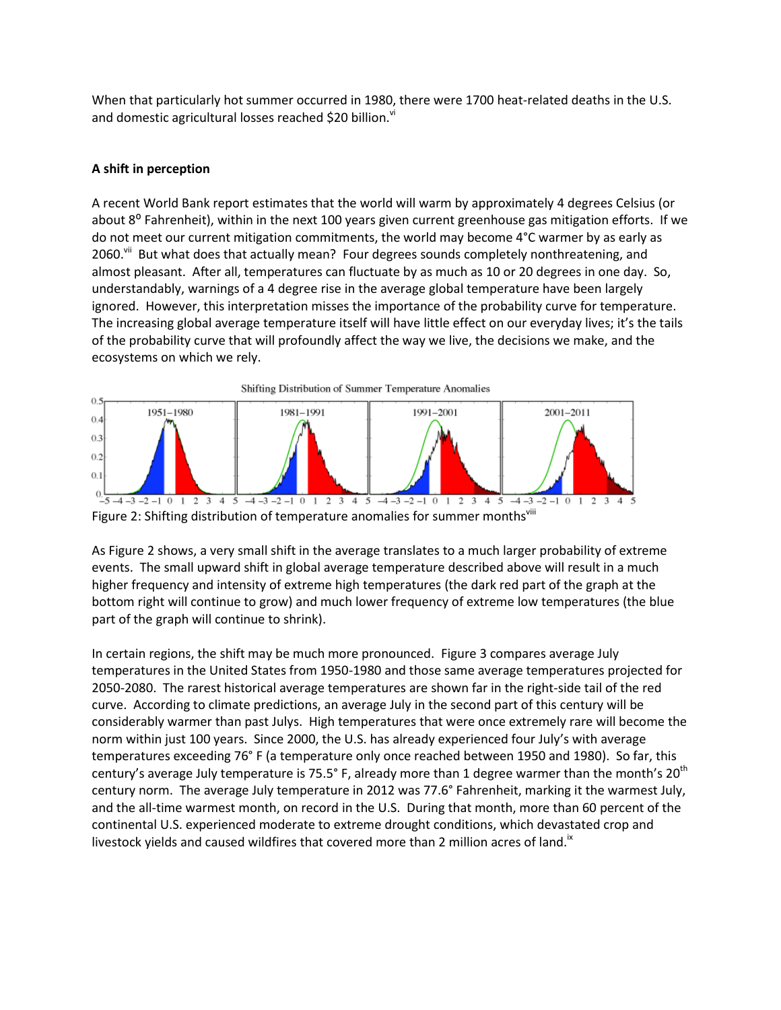When that particularly hot summer occurred in 1980, there were 1700 heat-related deaths in the U.S. and domestic agricultural losses reached \$20 billion.<sup>vi</sup>

## **A shift in perception**

A recent World Bank report estimates that the world will warm by approximately 4 degrees Celsius (or about 8<sup>o</sup> Fahrenheit), within in the next 100 years given current greenhouse gas mitigation efforts. If we do not meet our current mitigation commitments, the world may become 4°C warmer by as early as 2060.<sup>vii</sup> But what does that actually mean? Four degrees sounds completely nonthreatening, and almost pleasant. After all, temperatures can fluctuate by as much as 10 or 20 degrees in one day. So, understandably, warnings of a 4 degree rise in the average global temperature have been largely ignored. However, this interpretation misses the importance of the probability curve for temperature. The increasing global average temperature itself will have little effect on our everyday lives; it's the tails of the probability curve that will profoundly affect the way we live, the decisions we make, and the ecosystems on which we rely.



Figure 2: Shifting distribution of temperature anomalies for summer monthsvill

As Figure 2 shows, a very small shift in the average translates to a much larger probability of extreme events. The small upward shift in global average temperature described above will result in a much higher frequency and intensity of extreme high temperatures (the dark red part of the graph at the bottom right will continue to grow) and much lower frequency of extreme low temperatures (the blue part of the graph will continue to shrink).

In certain regions, the shift may be much more pronounced. Figure 3 compares average July temperatures in the United States from 1950-1980 and those same average temperatures projected for 2050-2080. The rarest historical average temperatures are shown far in the right-side tail of the red curve. According to climate predictions, an average July in the second part of this century will be considerably warmer than past Julys. High temperatures that were once extremely rare will become the norm within just 100 years. Since 2000, the U.S. has already experienced four July's with average temperatures exceeding 76° F (a temperature only once reached between 1950 and 1980). So far, this century's average July temperature is 75.5° F, already more than 1 degree warmer than the month's 20<sup>th</sup> century norm. The average July temperature in 2012 was 77.6° Fahrenheit, marking it the warmest July, and the all-time warmest month, on record in the U.S. During that month, more than 60 percent of the continental U.S. experienced moderate to extreme drought conditions, which devastated crop and livestock yields and caused wildfires that covered more than 2 million acres of land.<sup>18</sup>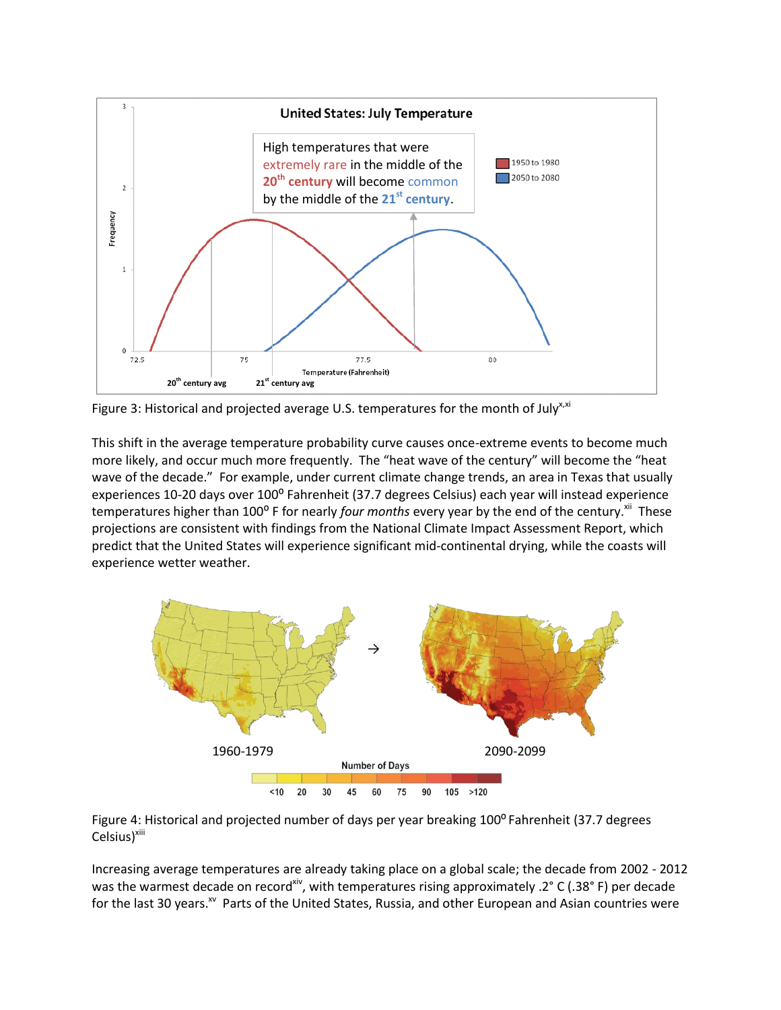

Figure 3: Historical and projected average U.S. temperatures for the month of July<sup>x,xi</sup>

This shift in the average temperature probability curve causes once-extreme events to become much more likely, and occur much more frequently. The "heat wave of the century" will become the "heat wave of the decade." For example, under current climate change trends, an area in Texas that usually experiences 10-20 days over 100° Fahrenheit (37.7 degrees Celsius) each year will instead experience temperatures higher than 100<sup>o</sup> F for nearly *four months* every year by the end of the century.<sup>xii</sup> These projections are consistent with findings from the National Climate Impact Assessment Report, which predict that the United States will experience significant mid-continental drying, while the coasts will experience wetter weather.





Increasing average temperatures are already taking place on a global scale; the decade from 2002 - 2012 was the warmest decade on record<sup>xiv</sup>, with temperatures rising approximately .2° C (.38° F) per decade for the last 30 years.<sup>xv</sup> Parts of the United States, Russia, and other European and Asian countries were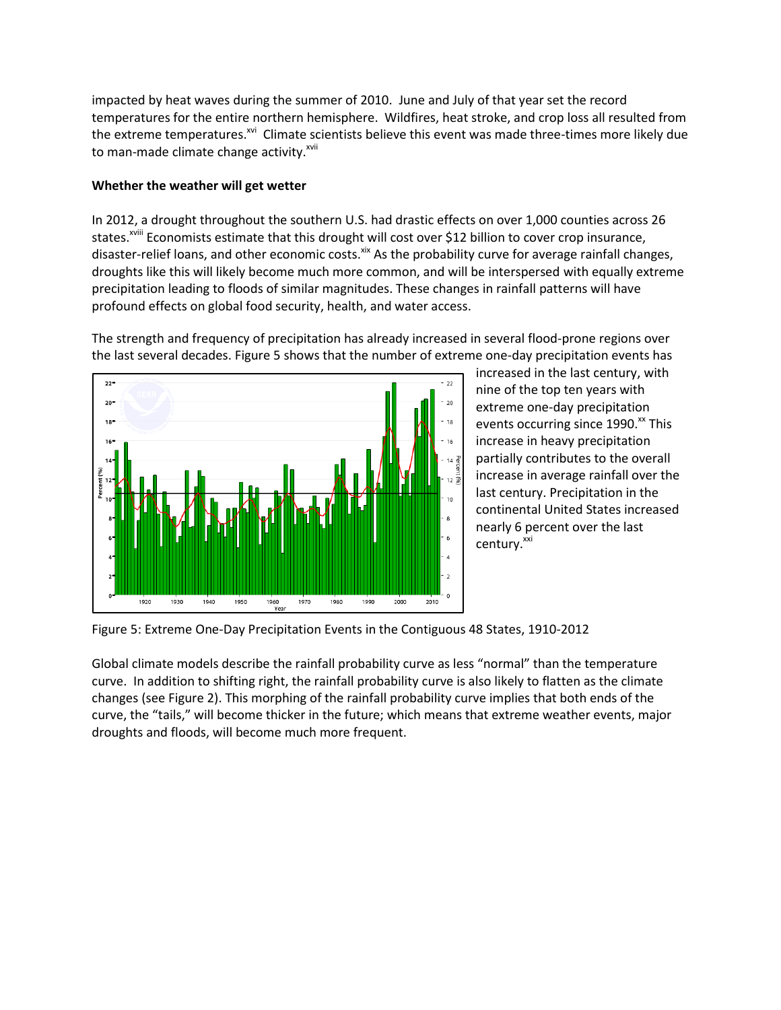impacted by heat waves during the summer of 2010. June and July of that year set the record temperatures for the entire northern hemisphere. Wildfires, heat stroke, and crop loss all resulted from the extreme temperatures.<sup>xvi</sup> Climate scientists believe this event was made three-times more likely due to man-made climate change activity.<sup>xvii</sup>

#### **Whether the weather will get wetter**

In 2012, a drought throughout the southern U.S. had drastic effects on over 1,000 counties across 26 states.<sup>xviii</sup> Economists estimate that this drought will cost over \$12 billion to cover crop insurance, disaster-relief loans, and other economic costs.<sup>xix</sup> As the probability curve for average rainfall changes, droughts like this will likely become much more common, and will be interspersed with equally extreme precipitation leading to floods of similar magnitudes. These changes in rainfall patterns will have profound effects on global food security, health, and water access.

The strength and frequency of precipitation has already increased in several flood-prone regions over the last several decades. Figure 5 shows that the number of extreme one-day precipitation events has



increased in the last century, with nine of the top ten years with extreme one-day precipitation events occurring since  $1990.^{\rm x}$  This increase in heavy precipitation partially contributes to the overall increase in average rainfall over the last century. Precipitation in the continental United States increased nearly 6 percent over the last century.<sup>xxi</sup>

Figure 5: Extreme One-Day Precipitation Events in the Contiguous 48 States, 1910-2012

Global climate models describe the rainfall probability curve as less "normal" than the temperature curve. In addition to shifting right, the rainfall probability curve is also likely to flatten as the climate changes (see Figure 2). This morphing of the rainfall probability curve implies that both ends of the curve, the "tails," will become thicker in the future; which means that extreme weather events, major droughts and floods, will become much more frequent.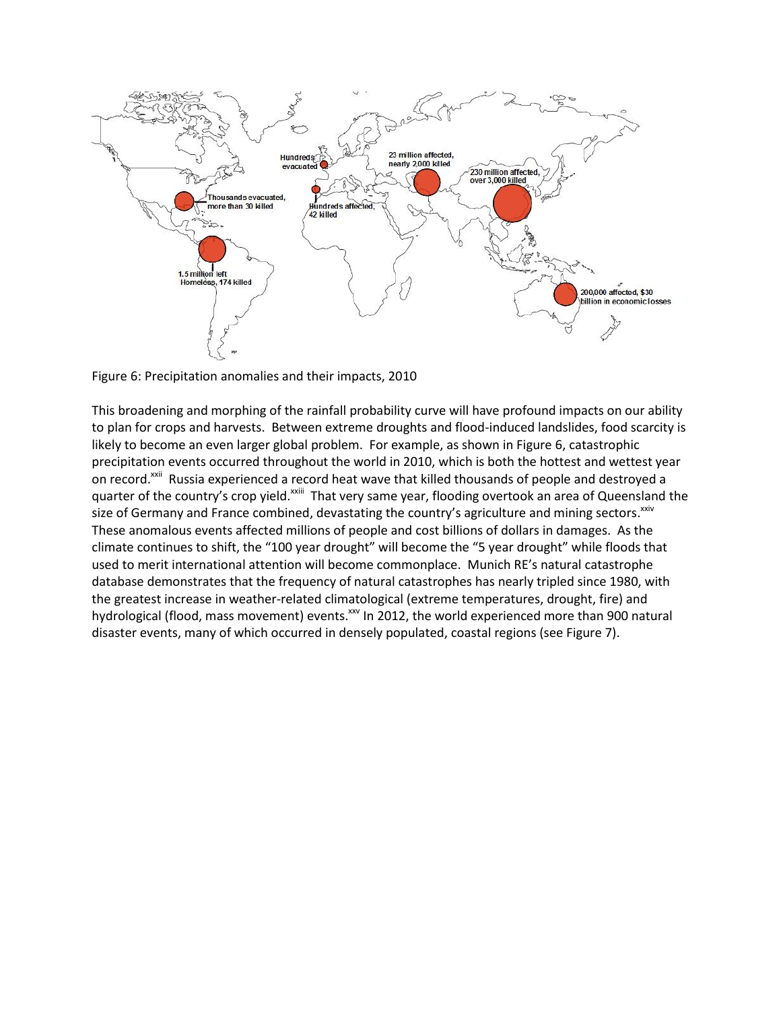

Figure 6: Precipitation anomalies and their impacts, 2010

This broadening and morphing of the rainfall probability curve will have profound impacts on our ability to plan for crops and harvests. Between extreme droughts and flood-induced landslides, food scarcity is likely to become an even larger global problem. For example, as shown in Figure 6, catastrophic precipitation events occurred throughout the world in 2010, which is both the hottest and wettest year on record.<sup>xxii</sup> Russia experienced a record heat wave that killed thousands of people and destroyed a quarter of the country's crop yield.<sup>xxiii</sup> That very same year, flooding overtook an area of Queensland the size of Germany and France combined, devastating the country's agriculture and mining sectors.<sup>xxiv</sup> These anomalous events affected millions of people and cost billions of dollars in damages. As the climate continues to shift, the "100 year drought" will become the "5 year drought" while floods that used to merit international attention will become commonplace. Munich RE's natural catastrophe database demonstrates that the frequency of natural catastrophes has nearly tripled since 1980, with the greatest increase in weather-related climatological (extreme temperatures, drought, fire) and hydrological (flood, mass movement) events.<sup>xxv</sup> In 2012, the world experienced more than 900 natural disaster events, many of which occurred in densely populated, coastal regions (see Figure 7).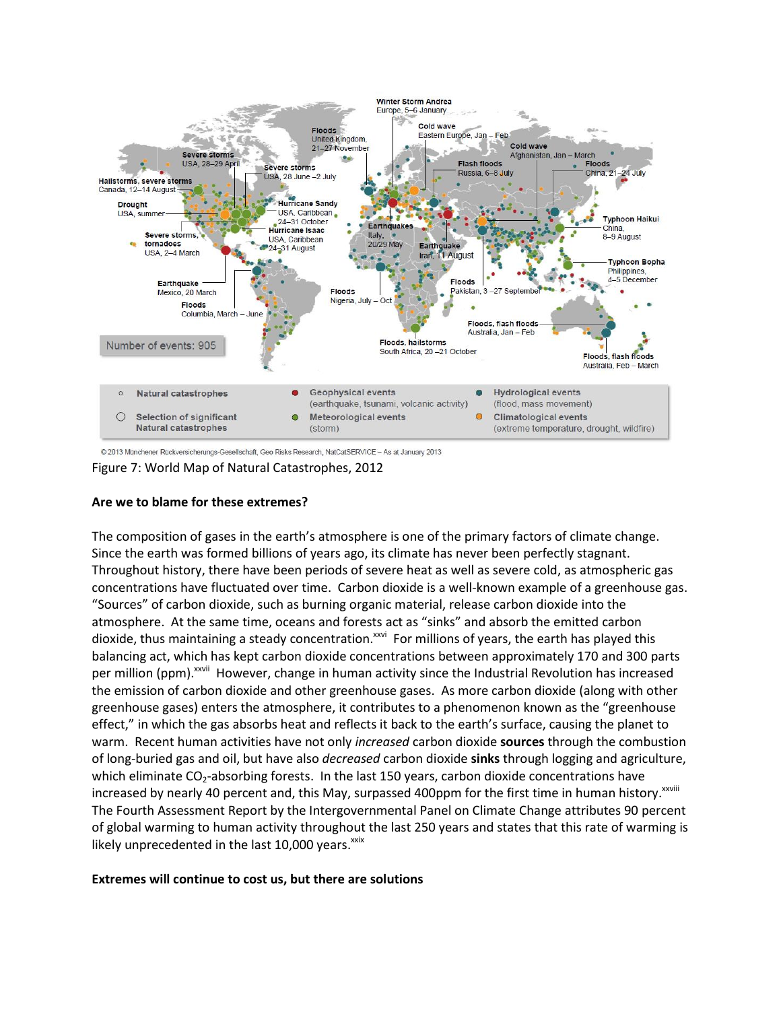

@ 2013 Münchener Rückversicherungs-Gesellschaft, Geo Risks Research, NatCatSERVICE - As at January 2013

Figure 7: World Map of Natural Catastrophes, 2012

### **Are we to blame for these extremes?**

The composition of gases in the earth's atmosphere is one of the primary factors of climate change. Since the earth was formed billions of years ago, its climate has never been perfectly stagnant. Throughout history, there have been periods of severe heat as well as severe cold, as atmospheric gas concentrations have fluctuated over time. Carbon dioxide is a well-known example of a greenhouse gas. "Sources" of carbon dioxide, such as burning organic material, release carbon dioxide into the atmosphere. At the same time, oceans and forests act as "sinks" and absorb the emitted carbon dioxide, thus maintaining a steady concentration.<sup>xxvi</sup> For millions of years, the earth has played this balancing act, which has kept carbon dioxide concentrations between approximately 170 and 300 parts per million (ppm).<sup>xxvii</sup> However, change in human activity since the Industrial Revolution has increased the emission of carbon dioxide and other greenhouse gases. As more carbon dioxide (along with other greenhouse gases) enters the atmosphere, it contributes to a phenomenon known as the "greenhouse effect," in which the gas absorbs heat and reflects it back to the earth's surface, causing the planet to warm. Recent human activities have not only *increased* carbon dioxide **sources** through the combustion of long-buried gas and oil, but have also *decreased* carbon dioxide **sinks** through logging and agriculture, which eliminate  $CO_2$ -absorbing forests. In the last 150 years, carbon dioxide concentrations have increased by nearly 40 percent and, this May, surpassed 400ppm for the first time in human history. XXVIII The Fourth Assessment Report by the Intergovernmental Panel on Climate Change attributes 90 percent of global warming to human activity throughout the last 250 years and states that this rate of warming is likely unprecedented in the last 10,000 years.<sup>xxix</sup>

#### **Extremes will continue to cost us, but there are solutions**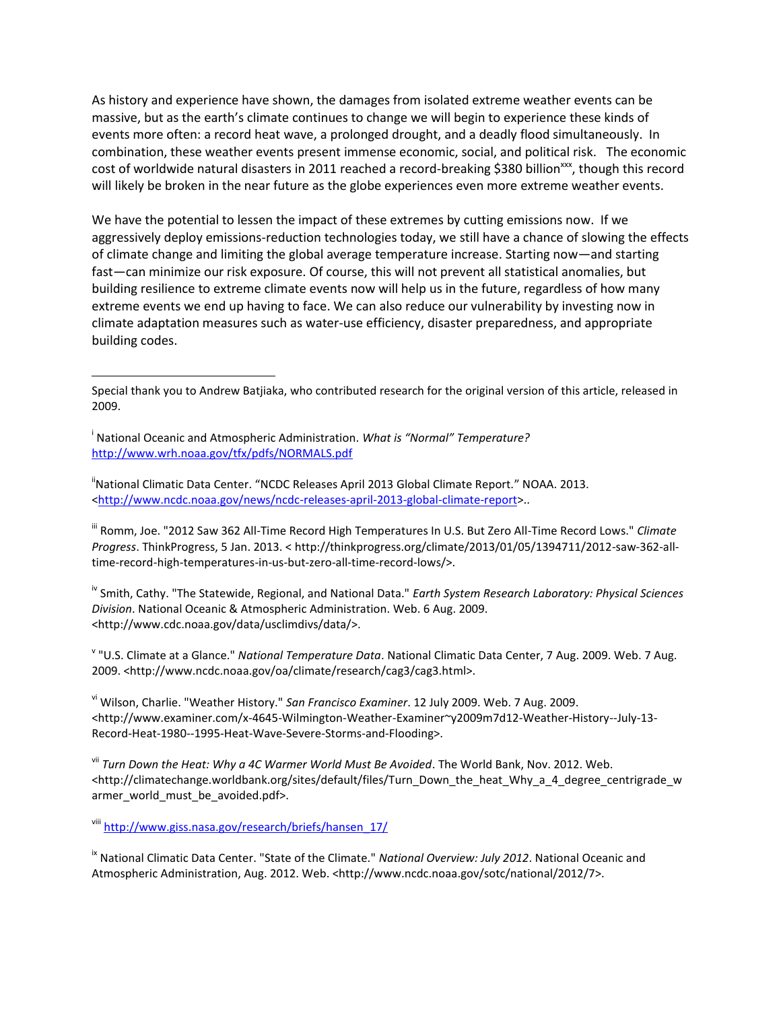As history and experience have shown, the damages from isolated extreme weather events can be massive, but as the earth's climate continues to change we will begin to experience these kinds of events more often: a record heat wave, a prolonged drought, and a deadly flood simultaneously. In combination, these weather events present immense economic, social, and political risk. The economic cost of worldwide natural disasters in 2011 reached a record-breaking \$380 billion<sup>xxx</sup>, though this record will likely be broken in the near future as the globe experiences even more extreme weather events.

We have the potential to lessen the impact of these extremes by cutting emissions now. If we aggressively deploy emissions-reduction technologies today, we still have a chance of slowing the effects of climate change and limiting the global average temperature increase. Starting now—and starting fast—can minimize our risk exposure. Of course, this will not prevent all statistical anomalies, but building resilience to extreme climate events now will help us in the future, regardless of how many extreme events we end up having to face. We can also reduce our vulnerability by investing now in climate adaptation measures such as water-use efficiency, disaster preparedness, and appropriate building codes.

i National Oceanic and Atmospheric Administration. *What is "Normal" Temperature?* <http://www.wrh.noaa.gov/tfx/pdfs/NORMALS.pdf>

 $\overline{\phantom{a}}$ 

"National Climatic Data Center. "NCDC Releases April 2013 Global Climate Report." NOAA. 2013. [<http://www.ncdc.noaa.gov/news/ncdc-releases-april-2013-global-climate-report>](http://www.ncdc.noaa.gov/news/ncdc-releases-april-2013-global-climate-report)..

iii Romm, Joe. "2012 Saw 362 All-Time Record High Temperatures In U.S. But Zero All-Time Record Lows." *Climate Progress*. ThinkProgress, 5 Jan. 2013. < http://thinkprogress.org/climate/2013/01/05/1394711/2012-saw-362-alltime-record-high-temperatures-in-us-but-zero-all-time-record-lows/>.

iv Smith, Cathy. "The Statewide, Regional, and National Data." *Earth System Research Laboratory: Physical Sciences Division*. National Oceanic & Atmospheric Administration. Web. 6 Aug. 2009. <http://www.cdc.noaa.gov/data/usclimdivs/data/>.

v "U.S. Climate at a Glance." *National Temperature Data*. National Climatic Data Center, 7 Aug. 2009. Web. 7 Aug. 2009. <http://www.ncdc.noaa.gov/oa/climate/research/cag3/cag3.html>.

vi Wilson, Charlie. "Weather History." *San Francisco Examiner*. 12 July 2009. Web. 7 Aug. 2009. <http://www.examiner.com/x-4645-Wilmington-Weather-Examiner~y2009m7d12-Weather-History--July-13- Record-Heat-1980--1995-Heat-Wave-Severe-Storms-and-Flooding>.

vii *Turn Down the Heat: Why a 4C Warmer World Must Be Avoided*. The World Bank, Nov. 2012. Web. <http://climatechange.worldbank.org/sites/default/files/Turn\_Down\_the\_heat\_Why\_a\_4\_degree\_centrigrade\_w armer\_world\_must\_be\_avoided.pdf>.

viii [http://www.giss.nasa.gov/research/briefs/hansen\\_17/](http://www.giss.nasa.gov/research/briefs/hansen_17/)

ix National Climatic Data Center. "State of the Climate." *National Overview: July 2012*. National Oceanic and Atmospheric Administration, Aug. 2012. Web. <http://www.ncdc.noaa.gov/sotc/national/2012/7>.

Special thank you to Andrew Batjiaka, who contributed research for the original version of this article, released in 2009.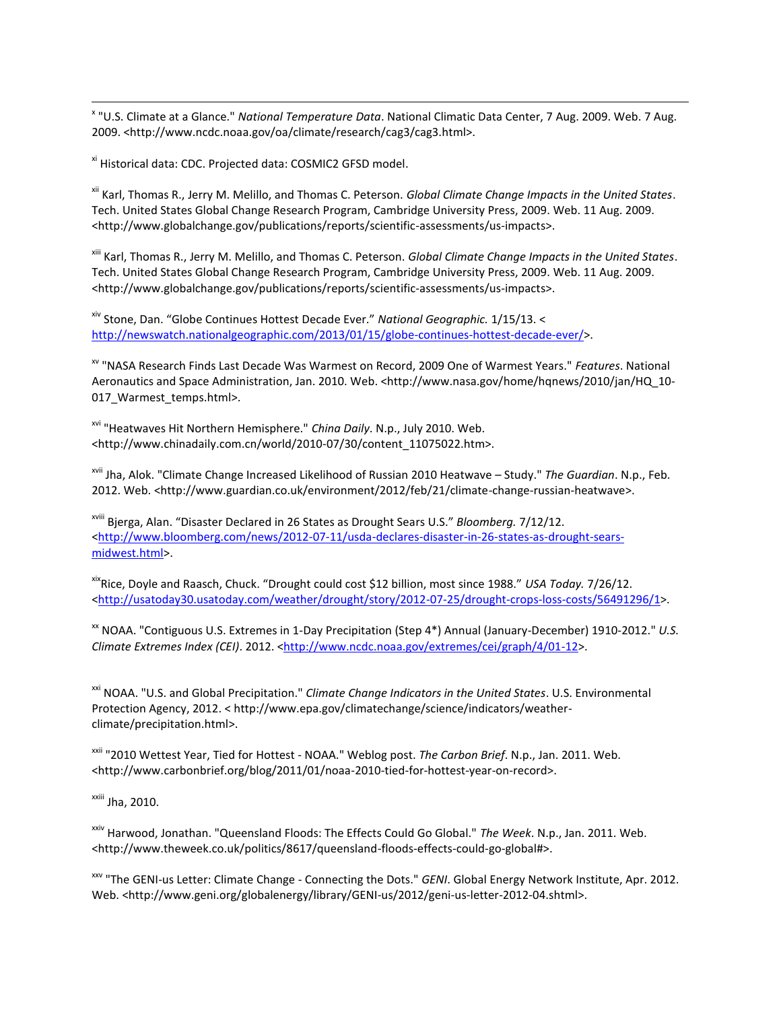x "U.S. Climate at a Glance." *National Temperature Data*. National Climatic Data Center, 7 Aug. 2009. Web. 7 Aug. 2009. <http://www.ncdc.noaa.gov/oa/climate/research/cag3/cag3.html>.

xi Historical data: CDC. Projected data: COSMIC2 GFSD model.

 $\overline{\phantom{a}}$ 

xii Karl, Thomas R., Jerry M. Melillo, and Thomas C. Peterson. *Global Climate Change Impacts in the United States*. Tech. United States Global Change Research Program, Cambridge University Press, 2009. Web. 11 Aug. 2009. <http://www.globalchange.gov/publications/reports/scientific-assessments/us-impacts>.

xiii Karl, Thomas R., Jerry M. Melillo, and Thomas C. Peterson. *Global Climate Change Impacts in the United States*. Tech. United States Global Change Research Program, Cambridge University Press, 2009. Web. 11 Aug. 2009. <http://www.globalchange.gov/publications/reports/scientific-assessments/us-impacts>.

xiv Stone, Dan. "Globe Continues Hottest Decade Ever." *National Geographic.* 1/15/13. < [http://newswatch.nationalgeographic.com/2013/01/15/globe-continues-hottest-decade-ever/>](http://newswatch.nationalgeographic.com/2013/01/15/globe-continues-hottest-decade-ever/).

xv "NASA Research Finds Last Decade Was Warmest on Record, 2009 One of Warmest Years." *Features*. National Aeronautics and Space Administration, Jan. 2010. Web. <http://www.nasa.gov/home/hqnews/2010/jan/HQ\_10- 017\_Warmest\_temps.html>.

xvi "Heatwaves Hit Northern Hemisphere." *China Daily*. N.p., July 2010. Web. <http://www.chinadaily.com.cn/world/2010-07/30/content\_11075022.htm>.

xvii Jha, Alok. "Climate Change Increased Likelihood of Russian 2010 Heatwave – Study." *The Guardian*. N.p., Feb. 2012. Web. <http://www.guardian.co.uk/environment/2012/feb/21/climate-change-russian-heatwave>.

xviii Bjerga, Alan. "Disaster Declared in 26 States as Drought Sears U.S." *Bloomberg.* 7/12/12. [<http://www.bloomberg.com/news/2012-07-11/usda-declares-disaster-in-26-states-as-drought-sears](http://www.bloomberg.com/news/2012-07-11/usda-declares-disaster-in-26-states-as-drought-sears-midwest.html)[midwest.html>](http://www.bloomberg.com/news/2012-07-11/usda-declares-disaster-in-26-states-as-drought-sears-midwest.html).

xixRice, Doyle and Raasch, Chuck. "Drought could cost \$12 billion, most since 1988." *USA Today.* 7/26/12. [<http://usatoday30.usatoday.com/weather/drought/story/2012-07-25/drought-crops-loss-costs/56491296/1>](http://usatoday30.usatoday.com/weather/drought/story/2012-07-25/drought-crops-loss-costs/56491296/1).

xx NOAA. "Contiguous U.S. Extremes in 1-Day Precipitation (Step 4\*) Annual (January-December) 1910-2012." *U.S. Climate Extremes Index (CEI)*. 2012. [<http://www.ncdc.noaa.gov/extremes/cei/graph/4/01-12>](http://www.ncdc.noaa.gov/extremes/cei/graph/4/01-12).

xxi NOAA. "U.S. and Global Precipitation." *Climate Change Indicators in the United States*. U.S. Environmental Protection Agency, 2012. < http://www.epa.gov/climatechange/science/indicators/weatherclimate/precipitation.html>.

xxii "2010 Wettest Year, Tied for Hottest - NOAA." Weblog post. *The Carbon Brief*. N.p., Jan. 2011. Web. <http://www.carbonbrief.org/blog/2011/01/noaa-2010-tied-for-hottest-year-on-record>.

xxiii Jha, 2010.

xxiv Harwood, Jonathan. "Queensland Floods: The Effects Could Go Global." *The Week*. N.p., Jan. 2011. Web. <http://www.theweek.co.uk/politics/8617/queensland-floods-effects-could-go-global#>.

xxv "The GENI-us Letter: Climate Change - Connecting the Dots." *GENI*. Global Energy Network Institute, Apr. 2012. Web. <http://www.geni.org/globalenergy/library/GENI-us/2012/geni-us-letter-2012-04.shtml>.